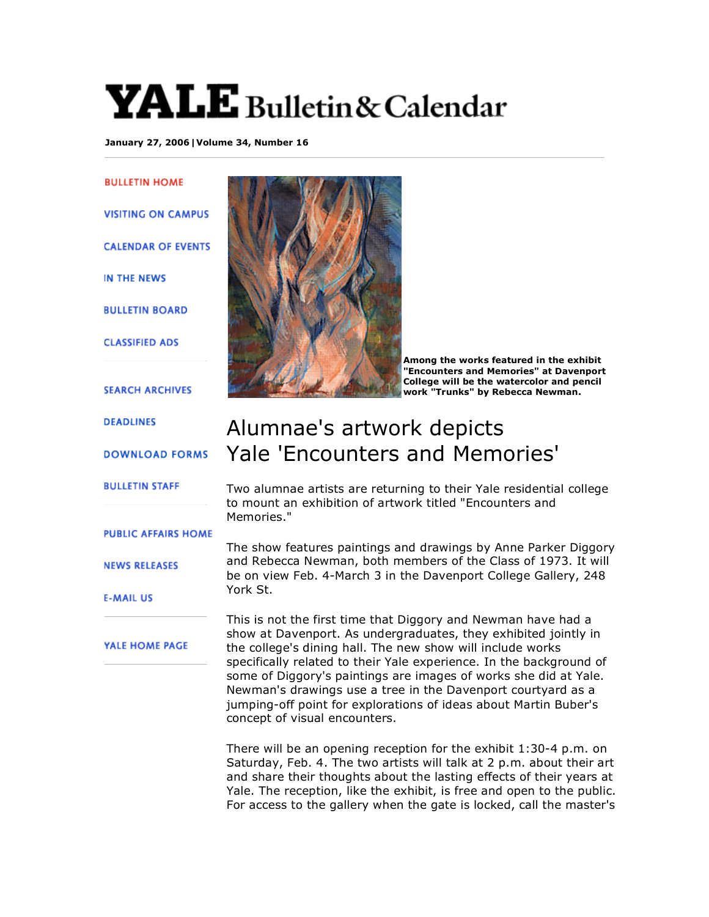## $\mathbf{YALE}$  Bulletin & Calendar

**January 27, 2006|Volume 34, Number 16**

**BULLETIN HOME VISITING ON CAMPUS CALENDAR OF EVENTS** IN THE NEWS **BULLETIN BOARD CLASSIFIED ADS SEARCH ARCHIVES DEADLINES DOWNLOAD FORMS BULLETIN STAFF PUBLIC AFFAIRS HOME NEWS RELEASES E-MAIL US** 





**Among the works featured in the exhibit "Encounters and Memories" at Davenport College will be the watercolor and pencil work "Trunks" by Rebecca Newman.**

## Alumnae's artwork depicts Yale 'Encounters and Memories'

Two alumnae artists are returning to their Yale residential college to mount an exhibition of artwork titled "Encounters and Memories."

The show features paintings and drawings by Anne Parker Diggory and Rebecca Newman, both members of the Class of 1973. It will be on view Feb. 4-March 3 in the Davenport College Gallery, 248 York St.

This is not the first time that Diggory and Newman have had a show at Davenport. As undergraduates, they exhibited jointly in the college's dining hall. The new show will include works specifically related to their Yale experience. In the background of some of Diggory's paintings are images of works she did at Yale. Newman's drawings use a tree in the Davenport courtyard as a jumping-off point for explorations of ideas about Martin Buber's concept of visual encounters.

There will be an opening reception for the exhibit 1:30-4 p.m. on Saturday, Feb. 4. The two artists will talk at 2 p.m. about their art and share their thoughts about the lasting effects of their years at Yale. The reception, like the exhibit, is free and open to the public. For access to the gallery when the gate is locked, call the master's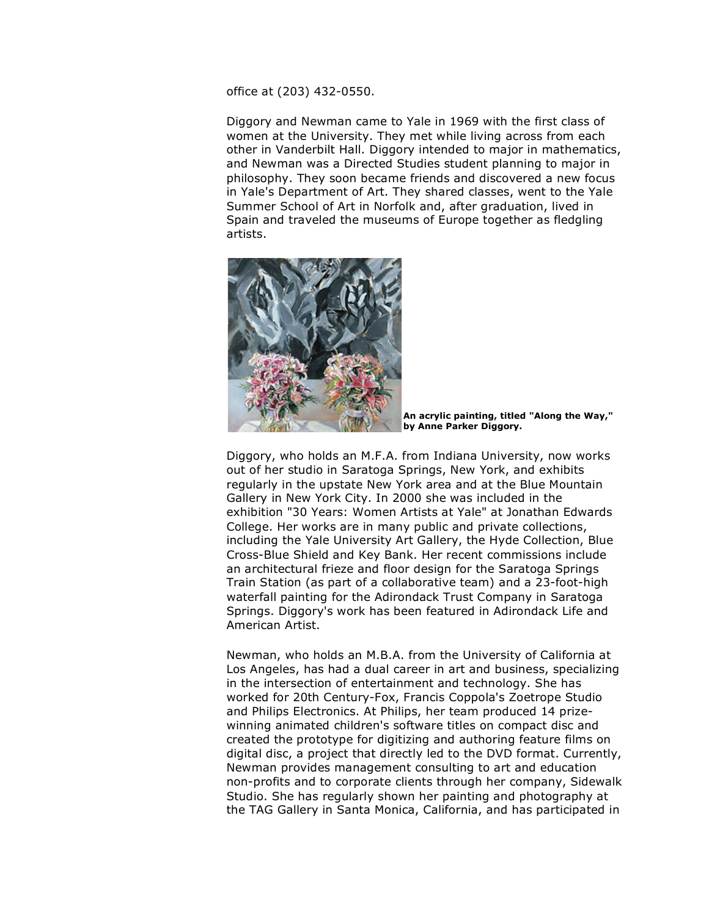office at (203) 432-0550.

Diggory and Newman came to Yale in 1969 with the first class of women at the University. They met while living across from each other in Vanderbilt Hall. Diggory intended to major in mathematics, and Newman was a Directed Studies student planning to major in philosophy. They soon became friends and discovered a new focus in Yale's Department of Art. They shared classes, went to the Yale Summer School of Art in Norfolk and, after graduation, lived in Spain and traveled the museums of Europe together as fledgling artists.



**An acrylic painting, titled "Along the Way," by Anne Parker Diggory.**

Diggory, who holds an M.F.A. from Indiana University, now works out of her studio in Saratoga Springs, New York, and exhibits regularly in the upstate New York area and at the Blue Mountain Gallery in New York City. In 2000 she was included in the exhibition "30 Years: Women Artists at Yale" at Jonathan Edwards College. Her works are in many public and private collections, including the Yale University Art Gallery, the Hyde Collection, Blue Cross-Blue Shield and Key Bank. Her recent commissions include an architectural frieze and floor design for the Saratoga Springs Train Station (as part of a collaborative team) and a 23-foot-high waterfall painting for the Adirondack Trust Company in Saratoga Springs. Diggory's work has been featured in Adirondack Life and American Artist.

Newman, who holds an M.B.A. from the University of California at Los Angeles, has had a dual career in art and business, specializing in the intersection of entertainment and technology. She has worked for 20th Century-Fox, Francis Coppola's Zoetrope Studio and Philips Electronics. At Philips, her team produced 14 prizewinning animated children's software titles on compact disc and created the prototype for digitizing and authoring feature films on digital disc, a project that directly led to the DVD format. Currently, Newman provides management consulting to art and education non-profits and to corporate clients through her company, Sidewalk Studio. She has regularly shown her painting and photography at the TAG Gallery in Santa Monica, California, and has participated in